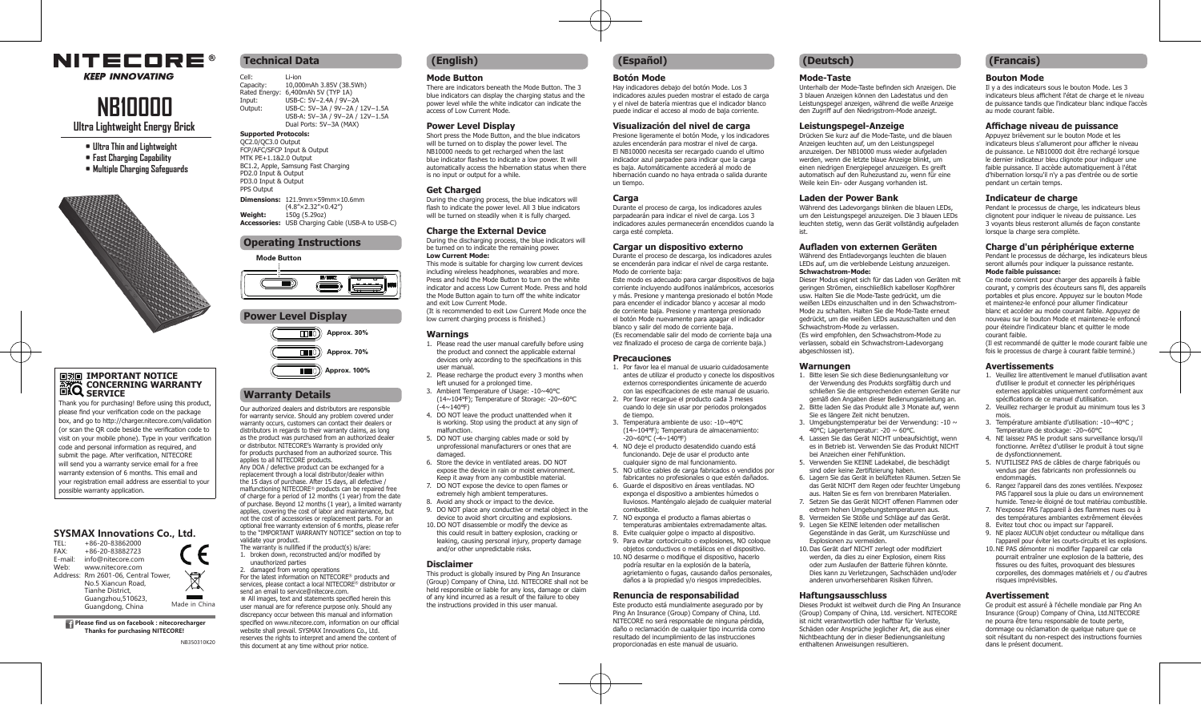## **NITECORE®**

**KEEP INNOVATING** 

# **NB10000**

**Ultra Lightweight Energy Brick**

- **• Ultra Thin and Lightweight • Fast Charging Capability**
- **• Multiple Charging Safeguards**



# **IMPORTANT NOTICE CONCERNING WARRANTY SERVICE**

Thank you for purchasing! Before using this product, please find your verification code on the package box, and go to http://charger.nitecore.com/validation (or scan the QR code beside the verification code to visit on your mobile phone). Type in your verification code and personal information as required, and submit the page. After verification, NITECORE will send you a warranty service email for a free warranty extension of 6 months. This email and your registration email address are essential to your possible warranty application.

#### **SYSMAX Innovations Co., Ltd.**

| TFI:    | $+86-20-83862000$                   |               |
|---------|-------------------------------------|---------------|
| FAX:    | +86-20-83882723                     |               |
| E-mail: | info@nitecore.com                   |               |
| Web:    | www.nitecore.com                    |               |
|         | Address: Rm 2601-06, Central Tower, |               |
|         | No.5 Xiancun Road.                  |               |
|         | <b>Tianhe District.</b>             |               |
|         | Guangzhou, 510623,                  |               |
|         | Guangdong, China                    | Made in China |
|         |                                     |               |

**Please find us on facebook : nitecorecharger Thanks for purchasing NITECORE!**

NB350310K20

### **Technical Data**

Cell: Li-ion<br>Capacity: 10,00 Capacity: 10,000mAh 3.85V (38.5Wh) Rated Energy: 6,400mAh 5V (TYP 1A) Input: USB-C: 5V<sup>−2</sup>.4A / 9V<sup>−2</sup>A<br>Output: USB-C: 5V<sup>−2</sup>.4A / 9V<sup>−2</sup>A  $USB-C: 5V-3A / 9V-2A / 12V-1.5A$ USB-A: 5V⎓3A / 9V⎓2A / 12V⎓1.5A Dual Ports: 5V⎓3A (MAX)

#### **Supported Protocols:**

OC2.0/OC3.0 Output FCP/AFC/SFCP Input & Output MTK PF+1.1&2.0 Output BC1.2, Apple, Samsung Fast Charging PD2.0 Input & Output PD3.0 Input & Output PPS Output **Dimensions:** 121.9mm×59mm×10.6mm  $(4.8" \times 2.32" \times 0.42")$ **Weight:** 150g (5.29oz)

**Accessories:** USB Charging Cable (USB-A to USB-C)

#### **Operating Instructions**

Mode Button



## **Power Level Display**  $\Box$  $\Box$ Approx. 30% ாமி Approx. 70%  $\overline{H}$  $\overline{H}$  $\overline{D}$  $\overline{H}$  Approx. 100%

## **Warranty Details**

Our authorized dealers and distributors are responsible for warranty service. Should any problem covered under warranty occurs, customers can contact their dealers or<br>distributors in regards to their warranty claims, as long distributors in regards to their warranty claims, as long as the product was purchased from an authorized dealer or distributor. NITECORE's Warranty is provided only for products purchased from an authorized source. This applies to all NITECORE products. Any DOA / defective product can be exchanged for a

replacement through a local distributor/dealer within the 15 days of purchase. After 15 days, all defective / malfunctioning NITECORE® products can be repaired free of charge for a period of 12 months (1 year) from the date of purchase. Beyond 12 months (1 year), a limited warranty applies, covering the cost of labor and maintenance, but not the cost of accessories or replacement parts. For an optional free warranty extension of 6 months, please refer to the "IMPORTANT WARRANTY NOTICE" section on top to validate your product.

The warranty is nullified if the product(s) is/are: 1. broken down, reconstructed and/or modified by

unauthorized parties 2. damaged from wrong operations For the latest information on NITECORE® products and services, please contact a local NITECORE® distributor or send an email to service@nitecore.com. ※ All images, text and statements specified herein this user manual are for reference purpose only. Should any discrepancy occur between this manual and information specified on www.nitecore.com, information on our official website shall prevail. SYSMAX Innovations Co., Ltd. reserves the rights to interpret and amend the content of this document at any time without prior notice.

#### **Mode Button**

There are indicators beneath the Mode Button. The 3 blue indicators can display the charging status and the power level while the white indicator can indicate the access of Low Current Mode.

#### **Power Level Display**

Short press the Mode Button, and the blue indicators will be turned on to display the nower level. The NB10000 needs to get recharged when the last blue indicator flashes to indicate a low power. It will automatically access the hibernation status when there is no input or output for a while.

#### **Get Charged**

During the charging process, the blue indicators will flash to indicate the power level. All 3 blue indicators will be turned on steadily when it is fully charged.

#### **Charge the External Device**

During the discharging process, the blue indicators will be turned on to indicate the remaining power. **Low Current Mode:**

This mode is suitable for charging low current devices including wireless headphones, wearables and more. Press and hold the Mode Button to turn on the white indicator and access Low Current Mode. Press and hold the Mode Button again to turn off the white indicator<br>and oxit Low Curront Mode and exit Low Current Mode. (It is recommended to exit Low Current Mode once the

low current charging process is finished.)

#### **Warnings**

- 1. Please read the user manual carefully before using the product and connect the applicable external devices only according to the specifications in this user manual.
- 2. Please recharge the product every 3 months when left unused for a prolonged time. 3. Ambient Temperature of Usage: -10~40℃
- (14~104℉); Temperature of Storage: -20~60℃  $\lambda$ -4~140°F)
- 4. DO NOT leave the product unattended when it is working. Stop using the product at any sign of malfunction.
- 5. DO NOT use charging cables made or sold by unprofessional manufacturers or ones that are damaged.
- 6. Store the device in ventilated areas. DO NOT expose the device in rain or moist environment. Keep it away from any combustible material.
- 7. DO NOT expose the device to open flames or extremely high ambient temperatures. 8. Avoid any shock or impact to the device.
- 9. DO NOT place any conductive or metal object in the
- device to avoid short circuiting and explosions. 10.DO NOT disassemble or modify the device as this could result in battery explosion, cracking or
- leaking, causing personal injury, property damage and/or other unpredictable risks.

#### **Disclaimer**

This product is globally insured by Ping An Insurance (Group) Company of China, Ltd. NITECORE shall not be held responsible or liable for any loss, damage or claim of any kind incurred as a result of the failure to obey the instructions provided in this user manual.

## **(English) (Español) (Deutsch)**

#### **Botón Mode**

Hay indicadores debajo del botón Mode. Los 3 indicadores azules pueden mostrar el estado de carga y el nivel de batería mientras que el indicador blanco puede indicar el acceso al modo de baja corriente.

#### **Visualización del nivel de carga**

Presione ligeramente el botón Mode, y los indicadores azules encenderán para mostrar el nivel de carga. El NB10000 necesita ser recargado cuando el ultimo indicador azul parpadee para indicar que la carga es baja. Automáticamente accederá al modo de hibernación cuando no haya entrada o salida durante un tiempo.

#### **Carga**

Durante el proceso de carga, los indicadores azules parpadearán para indicar el nivel de carga. Los 3 indicadores azules permanecerán encendidos cuando la carga esté completa.

#### **Cargar un dispositivo externo**

Durante el proceso de descarga, los indicadores azules se encenderán para indicar el nivel de carga restante. Modo de corriente baja: Este modo es adecuado para cargar dispositivos de baja

corriente incluyendo audífonos inalámbricos, accesorios y más. Presione y mantenga presionado el botón Mode para encender el indicador blanco y accesar al modo de corriente baja. Presione y mantenga presionado el botón Mode nuevamente para apagar el indicador blanco y salir del modo de corriente baja. (Es recomendable salir del modo de corriente baja una vez finalizado el proceso de carga de corriente baja.)

#### **Precauciones**

- 1. Por favor lea el manual de usuario cuidadosamente antes de utilizar el producto y conecte los dispositivos externos correspondientes únicamente de acuerdo con las especificaciones de este manual de usuario.
- 2. Por favor recargue el producto cada 3 meses cuando lo deje sin usar por periodos prolongados de tiempo.
- 3. Temperatura ambiente de uso: -10~40℃ (14~104℉); Temperatura de almacenamiento: -20~60℃ (-4~140℉)
- 4. NO deje el producto desatendido cuando está funcionando. Deje de usar el producto ante cualquier signo de mal funcionamiento.
- 5. NO utilice cables de carga fabricados o vendidos por fabricantes no profesionales o que estén dañados.
- 6. Guarde el dispositivo en áreas ventiladas. NO exponga el dispositivo a ambientes húmedos o lluviosos. Manténgalo alejado de cualquier material
- combustible. 7. NO exponga el producto a flamas abiertas o
- temperaturas ambientales extremadamente altas. 8. Evite cualquier golpe o impacto al dispositivo.
- 9. Para evitar cortocircuito o explosiones, NO coloque
- objetos conductivos o metálicos en el dispositivo. 10.NO desarme o modifique el dispositivo, hacerlo podría resultar en la explosión de la batería, agrietamiento o fugas, causando daños personales, daños a la propiedad y/o riesgos impredecibles.

#### **Renuncia de responsabilidad**

Este producto está mundialmente asegurado por by Ping An Insurance (Group) Company of China, Ltd. NITECORE no será responsable de ninguna pérdida, daño o reclamación de cualquier tipo incurrida como resultado del incumplimiento de las instrucciones proporcionadas en este manual de usuario.

#### **Mode-Taste**

Unterhalb der Mode-Taste befinden sich Anzeigen. Die 3 blauen Anzeigen können den Ladestatus und den Leistungspegel anzeigen, während die weiße Anzeige den Zugriff auf den Niedrigstrom-Mode anzeigt.

#### **Leistungspegel-Anzeige**

Drücken Sie kurz auf die Mode-Taste, und die blauen Anzeigen leuchten auf, um den Leistungspegel anzuzeigen. Der NB10000 muss wieder aufgeladen werden, wenn die letzte blaue Anzeige blinkt, um einen niedrigen Energiepegel anzuzeigen. Es greift automatisch auf den Ruhezustand zu, wenn für eine Weile kein Ein- oder Ausgang vorhanden ist.

#### **Laden der Power Bank**

Während des Ladevorgangs blinken die blauen LEDs, um den Leistungspegel anzuzeigen. Die 3 blauen LEDs leuchten stetig, wenn das Gerät vollständig aufgeladen ist.

#### **Aufladen von externen Geräten**

Während des Entladevorgangs leuchten die blauen LEDs auf, um die verbleibende Leistung anzuzeigen. **Schwachstrom-Mode:** Dieser Modus eignet sich für das Laden von Geräten mit geringen Strömen, einschließlich kabelloser Kopfhörer usw. Halten Sie die Mode-Taste gedrückt, um die weißen LEDs einzuschalten und in den Schwachstrom-Mode zu schalten. Halten Sie die Mode-Taste erneut

gedrückt, um die weißen LEDs auszuschalten und den Schwachstrom-Mode zu verlassen. (Es wird empfohlen, den Schwachstrom-Mode zu verlassen, sobald ein Schwachstrom-Ladevorgang

abgeschlossen ist).

#### **Warnungen**

- 1. Bitte lesen Sie sich diese Bedienungsanleitung vor der Verwendung des Produkts sorgfältig durch und schließen Sie die entsprechenden externen Geräte nur
- gemäß den Angaben dieser Bedienungsanleitung an. 2. Bitte laden Sie das Produkt alle 3 Monate auf, wenn Sie es längere Zeit nicht benutzen.
- 3. Umgebungstemperatur bei der Verwendung: -10 ~ 40℃; Lagertemperatur: -20 ~ 60℃.
- 4. Lassen Sie das Gerät NICHT unbeaufsichtigt, wenn es in Betrieb ist. Verwenden Sie das Produkt NICHT bei Anzeichen einer Fehlfunktion.
- 5. Verwenden Sie KEINE Ladekabel, die beschädigt
- sind oder keine Zertifizierung haben. 6. Lagern Sie das Gerät in belüfteten Räumen. Setzen Sie
- das Gerät NICHT dem Regen oder feuchter Umgebung aus. Halten Sie es fern von brennbaren Materialien. 7. Setzen Sie das Gerät NICHT offenen Flammen oder
- extrem hohen Umgebungstemperaturen aus. 8. Vermeiden Sie Stöße und Schläge auf das Gerät.
- 9. Legen Sie KEINE leitenden oder metallischen Gegenstände in das Gerät, um Kurzschlüsse und Explosionen zu vermeiden.
- 10.Das Gerät darf NICHT zerlegt oder modifiziert werden, da dies zu einer Explosion, einem Riss oder zum Auslaufen der Batterie führen könnte. Dies kann zu Verletzungen, Sachschäden und/oder anderen unvorhersehbaren Risiken führen.

#### **Haftungsausschluss**

Dieses Produkt ist weltweit durch die Ping An Insurance (Group) Company of China, Ltd. versichert. NITECORE ist nicht verantwortlich oder haftbar für Verluste, Schäden oder Ansprüche jeglicher Art, die aus einer Nichtbeachtung der in dieser Bedienungsanleitung enthaltenen Anweisungen resultieren.

#### **(Francais)**

#### **Bouton Mode** Il y a des indicateurs sous le bouton Mode. Les 3

au mode courant faible.

pendant un certain temps. **Indicateur de charge**

lorsque la charge sera complète.

**Mode faible puissance:**

courant faible.

mois.

**Avertissements**

de dysfonctionnement.

risques imprévisibles. **Avertissement**

dans le présent document.

endommagés.

indicateurs bleus affichent l'état de charge et le niveau de puissance tandis que l'indicateur blanc indique l'accès

Pendant le processus de charge, les indicateurs bleus clignotent pour indiquer le niveau de puissance. Les 3 voyants bleus resteront allumés de façon constante

**Charge d'un périphérique externe** Pendant le processus de décharge, les indicateurs bleus seront allumés pour indiquer la puissance restante.

Ce mode convient pour charger des appareils à faible courant, y compris des écouteurs sans fil, des appareils portables et plus encore. Appuyez sur le bouton Mode et maintenez-le enfoncé pour allumer l'indicateur blanc et accéder au mode courant faible. Appuyez de nouveau sur le bouton Mode et maintenez-le enfoncé pour éteindre l'indicateur blanc et quitter le mode

(Il est recommandé de quitter le mode courant faible une fois le processus de charge à courant faible terminé.)

1. Veuillez lire attentivement le manuel d'utilisation avant d'utiliser le produit et connecter les périphériques externes applicables uniquement conformément aux spécifications de ce manuel d'utilisation. 2. Veuillez recharger le produit au minimum tous les 3

3. Température ambiante d'utilisation: -10~40°C ; Temperature de stockage: -20~60℃ 4. NE laissez PAS le produit sans surveillance lorsqu'il fonctionne. Arrêtez d'utiliser le produit à tout signe

5. N'UTILISEZ PAS de câbles de charge fabriqués ou vendus par des fabricants non professionnels ou

6. Rangez l'appareil dans des zones ventilées. N'exposez PAS l'appareil sous la pluie ou dans un environnement humide. Tenez-le éloigné de tout matériau combustible. 7. N'exposez PAS l'appareil à des flammes nues ou à des températures ambiantes extrêmement élevées 8. Evitez tout choc ou impact sur l'appareil. 9. NE placez AUCUN objet conducteur ou métallique dans l'appareil pour éviter les courts-circuits et les explosions. 10.NE PAS démonter ni modifier l'appareil car cela pourrait entraîner une explosion de la batterie, des fissures ou des fuites, provoquant des blessures corporelles, des dommages matériels et / ou d'autres

Ce produit est assuré à l'échelle mondiale par Ping An Insurance (Group) Company of China, Ltd.NITECORE ne pourra être tenu responsable de toute perte, dommage ou réclamation de quelque nature que ce soit résultant du non-respect des instructions fournies

**Affichage niveau de puissance**  Appuyez brièvement sur le bouton Mode et les indicateurs bleus s'allumeront pour afficher le niveau de puissance. Le NB10000 doit être rechargé lorsque le dernier indicateur bleu clignote pour indiquer une faible puissance. Il accède automatiquement à l'état d'hibernation lorsqu'il n'y a pas d'entrée ou de sortie